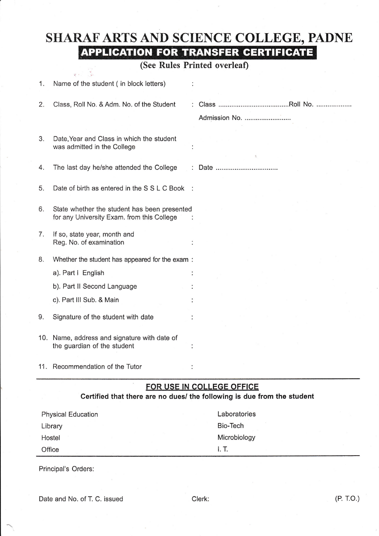## SHARAF ARTS AND SCIENCE COLLEGE, PADNE<br>APPLICATION FOR TRANSFER CERTIFICATE

(See Rules Printed overleaf)

| 1. | Name of the student ( in block letters)                                                    |               |
|----|--------------------------------------------------------------------------------------------|---------------|
| 2. | Class, Roll No. & Adm. No. of the Student                                                  | Admission No. |
| 3. | Date, Year and Class in which the student<br>was admitted in the College                   |               |
| 4. | The last day he/she attended the College                                                   | : Date        |
| 5. | Date of birth as entered in the S S L C Book                                               |               |
| 6. | State whether the student has been presented<br>for any University Exam. from this College |               |
| 7. | If so, state year, month and<br>Reg. No. of examination                                    |               |
| 8. | Whether the student has appeared for the exam :                                            |               |
|    | a). Part I English                                                                         |               |
|    | b). Part II Second Language                                                                |               |
|    | c). Part III Sub. & Main                                                                   |               |
| 9. | Signature of the student with date                                                         |               |
|    | 10. Name, address and signature with date of<br>the guardian of the student                |               |
|    | 11. Recommendation of the Tutor                                                            |               |

## FOR USE IN COLLEGE OFFICE

| Certified that there are no dues/ the following is due from the student |  |  |
|-------------------------------------------------------------------------|--|--|
|-------------------------------------------------------------------------|--|--|

| <b>Physical Education</b> | Laboratories |
|---------------------------|--------------|
| Library                   | Bio-Tech     |
| Hostel                    | Microbiology |
| Office                    | I. T.        |

Principal's Orders:

Ñ,